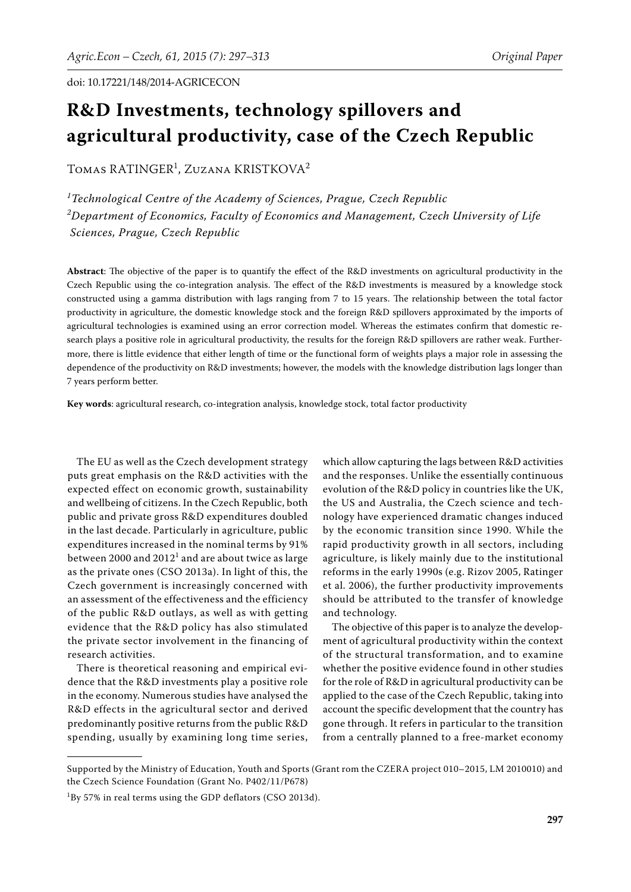# **R&D Investments, technology spillovers and agricultural productivity, case of the Czech Republic**

TOMAS RATINGER<sup>1</sup>, Zuzana KRISTKOVA<sup>2</sup>

*1 Technological Centre of the Academy of Sciences, Prague, Czech Republic 2 Department of Economics, Faculty of Economics and Management, Czech University of Life Sciences, Prague, Czech Republic*

Abstract: The objective of the paper is to quantify the effect of the R&D investments on agricultural productivity in the Czech Republic using the co-integration analysis. The effect of the R&D investments is measured by a knowledge stock constructed using a gamma distribution with lags ranging from 7 to 15 years. The relationship between the total factor productivity in agriculture, the domestic knowledge stock and the foreign R&D spillovers approximated by the imports of agricultural technologies is examined using an error correction model. Whereas the estimates confirm that domestic research plays a positive role in agricultural productivity, the results for the foreign R&D spillovers are rather weak. Furthermore, there is little evidence that either length of time or the functional form of weights plays a major role in assessing the dependence of the productivity on R&D investments; however, the models with the knowledge distribution lags longer than 7 years perform better.

**Key words**: agricultural research, co-integration analysis, knowledge stock, total factor productivity

The EU as well as the Czech development strategy puts great emphasis on the R&D activities with the expected effect on economic growth, sustainability and wellbeing of citizens. In the Czech Republic, both public and private gross R&D expenditures doubled in the last decade. Particularly in agriculture, public expenditures increased in the nominal terms by 91% between 2000 and 2012 $^1$  and are about twice as large as the private ones (CSO 2013a). In light of this, the Czech government is increasingly concerned with an assessment of the effectiveness and the efficiency of the public R&D outlays, as well as with getting evidence that the R&D policy has also stimulated the private sector involvement in the financing of research activities.

There is theoretical reasoning and empirical evidence that the R&D investments play a positive role in the economy. Numerous studies have analysed the R&D effects in the agricultural sector and derived predominantly positive returns from the public R&D spending, usually by examining long time series,

which allow capturing the lags between R&D activities and the responses. Unlike the essentially continuous evolution of the R&D policy in countries like the UK, the US and Australia, the Czech science and technology have experienced dramatic changes induced by the economic transition since 1990. While the rapid productivity growth in all sectors, including agriculture, is likely mainly due to the institutional reforms in the early 1990s (e.g. Rizov 2005, Ratinger et al. 2006), the further productivity improvements should be attributed to the transfer of knowledge and technology.

The objective of this paper is to analyze the development of agricultural productivity within the context of the structural transformation, and to examine whether the positive evidence found in other studies for the role of R&D in agricultural productivity can be applied to the case of the Czech Republic, taking into account the specific development that the country has gone through. It refers in particular to the transition from a centrally planned to a free-market economy

Supported by the Ministry of Education, Youth and Sports (Grant rom the CZERA project 010–2015, LM 2010010) and the Czech Science Foundation (Grant No. P402/11/P678)

 $1\text{By }57\%$  in real terms using the GDP deflators (CSO 2013d).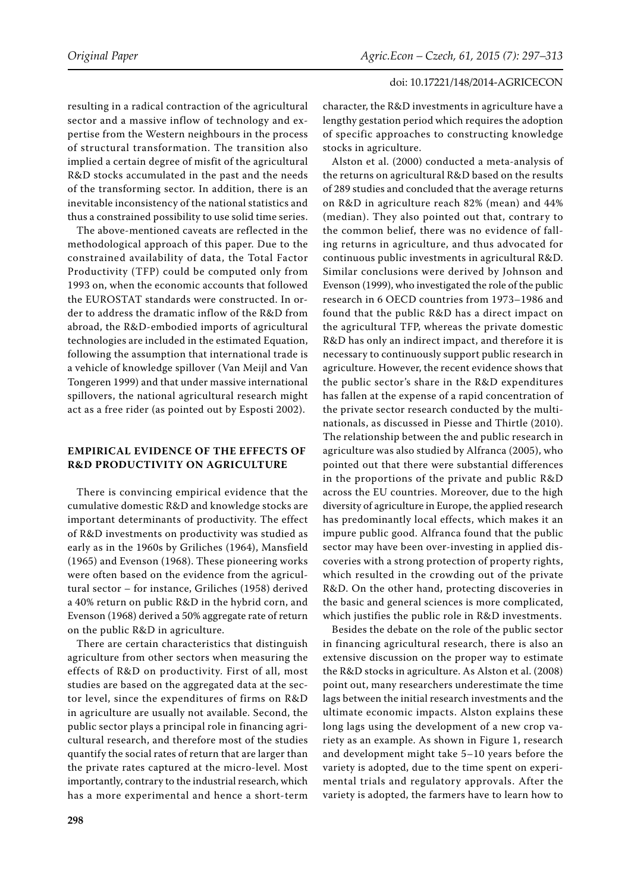resulting in a radical contraction of the agricultural sector and a massive inflow of technology and expertise from the Western neighbours in the process of structural transformation. The transition also implied a certain degree of misfit of the agricultural R&D stocks accumulated in the past and the needs of the transforming sector. In addition, there is an inevitable inconsistency of the national statistics and thus a constrained possibility to use solid time series.

The above-mentioned caveats are reflected in the methodological approach of this paper. Due to the constrained availability of data, the Total Factor Productivity (TFP) could be computed only from 1993 on, when the economic accounts that followed the EUROSTAT standards were constructed. In order to address the dramatic inflow of the R&D from abroad, the R&D-embodied imports of agricultural technologies are included in the estimated Equation, following the assumption that international trade is a vehicle of knowledge spillover (Van Meijl and Van Tongeren 1999) and that under massive international spillovers, the national agricultural research might act as a free rider (as pointed out by Esposti 2002).

## **EMPIRICAL EVIDENCE OF THE EFFECTS OF R&D PRODUCTIVITY ON AGRICULTURE**

There is convincing empirical evidence that the cumulative domestic R&D and knowledge stocks are important determinants of productivity. The effect of R&D investments on productivity was studied as early as in the 1960s by Griliches (1964), Mansfield (1965) and Evenson (1968). These pioneering works were often based on the evidence from the agricultural sector – for instance, Griliches (1958) derived a 40% return on public R&D in the hybrid corn, and Evenson (1968) derived a 50% aggregate rate of return on the public R&D in agriculture.

There are certain characteristics that distinguish agriculture from other sectors when measuring the effects of R&D on productivity. First of all, most studies are based on the aggregated data at the sector level, since the expenditures of firms on R&D in agriculture are usually not available. Second, the public sector plays a principal role in financing agricultural research, and therefore most of the studies quantify the social rates of return that are larger than the private rates captured at the micro-level. Most importantly, contrary to the industrial research, which has a more experimental and hence a short-term

character, the R&D investments in agriculture have a lengthy gestation period which requires the adoption of specific approaches to constructing knowledge stocks in agriculture.

Alston et al. (2000) conducted a meta-analysis of the returns on agricultural R&D based on the results of 289 studies and concluded that the average returns on R&D in agriculture reach 82% (mean) and 44% (median). They also pointed out that, contrary to the common belief, there was no evidence of falling returns in agriculture, and thus advocated for continuous public investments in agricultural R&D. Similar conclusions were derived by Johnson and Evenson (1999), who investigated the role of the public research in 6 OECD countries from 1973–1986 and found that the public R&D has a direct impact on the agricultural TFP, whereas the private domestic R&D has only an indirect impact, and therefore it is necessary to continuously support public research in agriculture. However, the recent evidence shows that the public sector's share in the R&D expenditures has fallen at the expense of a rapid concentration of the private sector research conducted by the multinationals, as discussed in Piesse and Thirtle (2010). The relationship between the and public research in agriculture was also studied by Alfranca (2005), who pointed out that there were substantial differences in the proportions of the private and public R&D across the EU countries. Moreover, due to the high diversity of agriculture in Europe, the applied research has predominantly local effects, which makes it an impure public good. Alfranca found that the public sector may have been over-investing in applied discoveries with a strong protection of property rights, which resulted in the crowding out of the private R&D. On the other hand, protecting discoveries in the basic and general sciences is more complicated, which justifies the public role in R&D investments.

Besides the debate on the role of the public sector in financing agricultural research, there is also an extensive discussion on the proper way to estimate the R&D stocks in agriculture. As Alston et al. (2008) point out, many researchers underestimate the time lags between the initial research investments and the ultimate economic impacts. Alston explains these long lags using the development of a new crop variety as an example. As shown in Figure 1, research and development might take 5–10 years before the variety is adopted, due to the time spent on experimental trials and regulatory approvals. After the variety is adopted, the farmers have to learn how to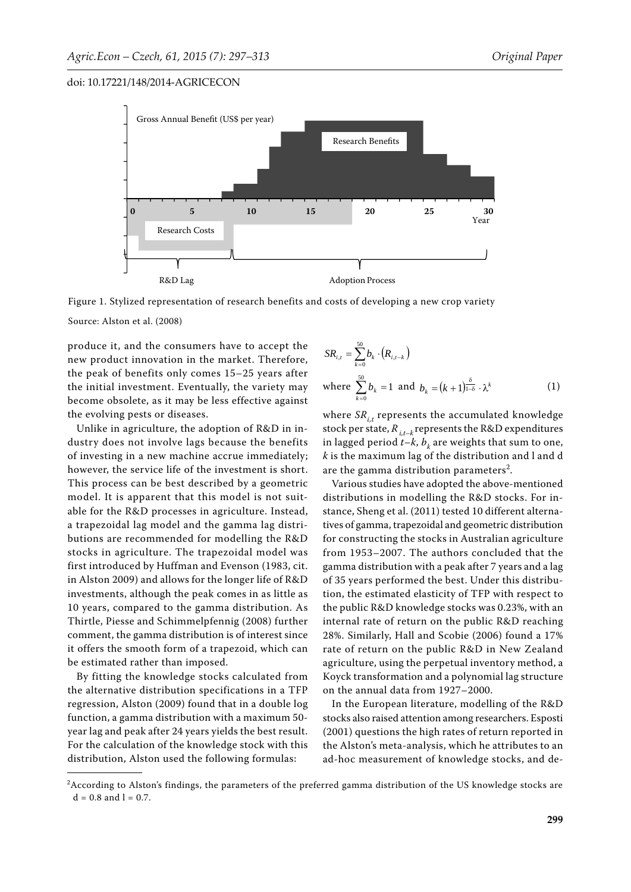



Source: Alston et al. (2008)

produce it, and the consumers have to accept the new product innovation in the market. Therefore, the peak of benefits only comes 15–25 years after the initial investment. Eventually, the variety may become obsolete, as it may be less effective against the evolving pests or diseases.

Unlike in agriculture, the adoption of R&D in industry does not involve lags because the benefits of investing in a new machine accrue immediately; however, the service life of the investment is short. This process can be best described by a geometric model. It is apparent that this model is not suitable for the R&D processes in agriculture. Instead, a trapezoidal lag model and the gamma lag distributions are recommended for modelling the R&D stocks in agriculture. The trapezoidal model was first introduced by Huffman and Evenson (1983, cit. in Alston 2009) and allows for the longer life of R&D investments, although the peak comes in as little as 10 years, compared to the gamma distribution. As Thirtle, Piesse and Schimmelpfennig (2008) further comment, the gamma distribution is of interest since it offers the smooth form of a trapezoid, which can be estimated rather than imposed.

By fitting the knowledge stocks calculated from the alternative distribution specifications in a TFP regression, Alston (2009) found that in a double log function, a gamma distribution with a maximum 50 year lag and peak after 24 years yields the best result. For the calculation of the knowledge stock with this distribution, Alston used the following formulas:

$$
SR_{i,t} = \sum_{k=0}^{50} b_k \cdot (R_{i,t-k})
$$
  
where  $\sum_{k=0}^{50} b_k = 1$  and  $b_k = (k+1)^{\frac{\delta}{1-\delta}} \cdot \lambda^k$  (1)

where  $SR_{i,t}$  represents the accumulated knowledge stock per state,  $R_{i,t-k}$  represents the R&D expenditures in lagged period  $t-k$ ,  $b_k$  are weights that sum to one, *k* is the maximum lag of the distribution and l and d are the gamma distribution parameters<sup>2</sup>.

Various studies have adopted the above-mentioned distributions in modelling the R&D stocks. For instance, Sheng et al. (2011) tested 10 different alternatives of gamma, trapezoidal and geometric distribution for constructing the stocks in Australian agriculture from 1953–2007. The authors concluded that the gamma distribution with a peak after 7 years and a lag of 35 years performed the best. Under this distribution, the estimated elasticity of TFP with respect to the public R&D knowledge stocks was 0.23%, with an internal rate of return on the public R&D reaching 28%. Similarly, Hall and Scobie (2006) found a 17% rate of return on the public R&D in New Zealand agriculture, using the perpetual inventory method, a Koyck transformation and a polynomial lag structure on the annual data from 1927–2000.

In the European literature, modelling of the R&D stocks also raised attention among researchers. Esposti (2001) questions the high rates of return reported in the Alston's meta-analysis, which he attributes to an ad-hoc measurement of knowledge stocks, and de-

<sup>2</sup> According to Alston's findings, the parameters of the preferred gamma distribution of the US knowledge stocks are  $d = 0.8$  and  $l = 0.7$ .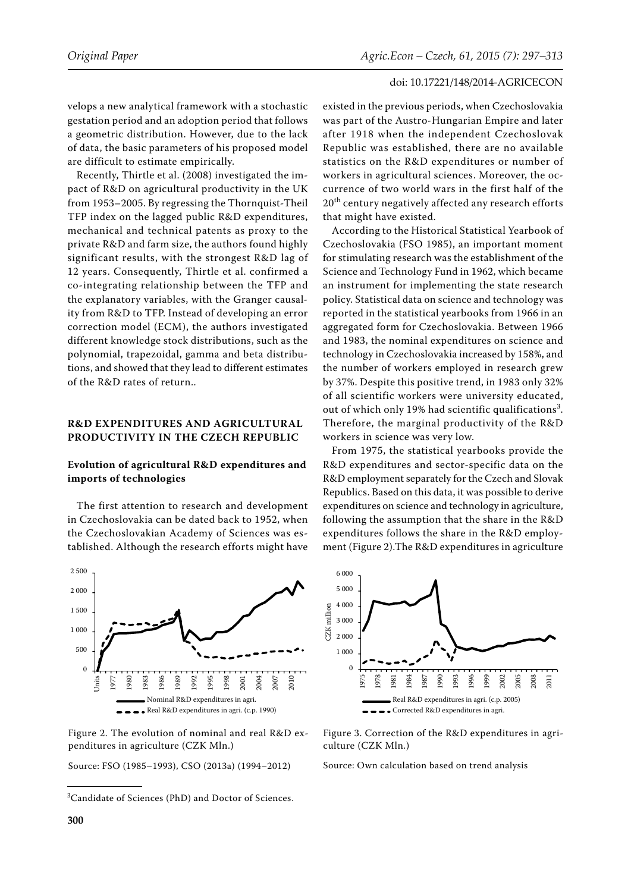velops a new analytical framework with a stochastic gestation period and an adoption period that follows a geometric distribution. However, due to the lack of data, the basic parameters of his proposed model are difficult to estimate empirically.

Recently, Thirtle et al. (2008) investigated the impact of R&D on agricultural productivity in the UK from 1953–2005. By regressing the Thornquist-Theil TFP index on the lagged public R&D expenditures, mechanical and technical patents as proxy to the private R&D and farm size, the authors found highly significant results, with the strongest R&D lag of 12 years. Consequently, Thirtle et al. confirmed a co-integrating relationship between the TFP and the explanatory variables, with the Granger causality from R&D to TFP. Instead of developing an error correction model (ECM), the authors investigated different knowledge stock distributions, such as the polynomial, trapezoidal, gamma and beta distributions, and showed that they lead to different estimates of the R&D rates of return..

## **R&D EXPENDITURES AND AGRICULTURAL PRODUCTIVITY IN THE CZECH REPUBLIC**

## **Evolution of agricultural R&D expenditures and imports of technologies**

The first attention to research and development in Czechoslovakia can be dated back to 1952, when the Czechoslovakian Academy of Sciences was established. Although the research efforts might have



Figure 2. The evolution of nominal and real R&D expenditures in agriculture (CZK Mln.)

Source: FSO (1985–1993), CSO (2013a) (1994–2012)

existed in the previous periods, when Czechoslovakia was part of the Austro-Hungarian Empire and later after 1918 when the independent Czechoslovak Republic was established, there are no available statistics on the R&D expenditures or number of workers in agricultural sciences. Moreover, the occurrence of two world wars in the first half of the 20<sup>th</sup> century negatively affected any research efforts that might have existed.

According to the Historical Statistical Yearbook of Czechoslovakia (FSO 1985), an important moment for stimulating research was the establishment of the Science and Technology Fund in 1962, which became an instrument for implementing the state research policy. Statistical data on science and technology was reported in the statistical yearbooks from 1966 in an aggregated form for Czechoslovakia. Between 1966 and 1983, the nominal expenditures on science and technology in Czechoslovakia increased by 158%, and the number of workers employed in research grew by 37%. Despite this positive trend, in 1983 only 32% of all scientific workers were university educated, out of which only 19% had scientific qualifications<sup>3</sup>. Therefore, the marginal productivity of the R&D workers in science was very low.

From 1975, the statistical yearbooks provide the R&D expenditures and sector-specific data on the R&D employment separately for the Czech and Slovak Republics. Based on this data, it was possible to derive expenditures on science and technology in agriculture, following the assumption that the share in the R&D expenditures follows the share in the R&D employment (Figure 2).The R&D expenditures in agriculture



Figure 3. Correction of the R&D expenditures in agriculture (CZK Mln.)

Source: Own calculation based on trend analysis

<sup>3</sup> Candidate of Sciences (PhD) and Doctor of Sciences.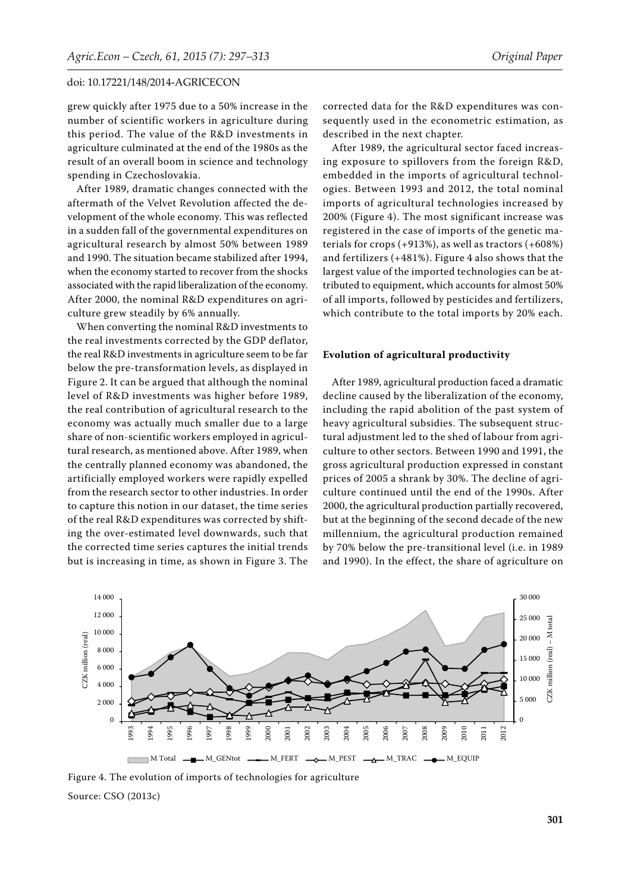grew quickly after 1975 due to a 50% increase in the number of scientific workers in agriculture during this period. The value of the R&D investments in agriculture culminated at the end of the 1980s as the result of an overall boom in science and technology spending in Czechoslovakia.

After 1989, dramatic changes connected with the aftermath of the Velvet Revolution affected the development of the whole economy. This was reflected in a sudden fall of the governmental expenditures on agricultural research by almost 50% between 1989 and 1990. The situation became stabilized after 1994, when the economy started to recover from the shocks associated with the rapid liberalization of the economy. After 2000, the nominal R&D expenditures on agriculture grew steadily by 6% annually.

When converting the nominal R&D investments to the real investments corrected by the GDP deflator, the real R&D investments in agriculture seem to be far below the pre-transformation levels, as displayed in Figure 2. It can be argued that although the nominal level of R&D investments was higher before 1989, the real contribution of agricultural research to the economy was actually much smaller due to a large share of non-scientific workers employed in agricultural research, as mentioned above. After 1989, when the centrally planned economy was abandoned, the artificially employed workers were rapidly expelled from the research sector to other industries. In order to capture this notion in our dataset, the time series of the real R&D expenditures was corrected by shifting the over-estimated level downwards, such that the corrected time series captures the initial trends but is increasing in time, as shown in Figure 3. The

corrected data for the R&D expenditures was consequently used in the econometric estimation, as described in the next chapter.

After 1989, the agricultural sector faced increasing exposure to spillovers from the foreign R&D, embedded in the imports of agricultural technologies. Between 1993 and 2012, the total nominal imports of agricultural technologies increased by 200% (Figure 4). The most significant increase was registered in the case of imports of the genetic materials for crops (+913%), as well as tractors (+608%) and fertilizers (+481%). Figure 4 also shows that the largest value of the imported technologies can be attributed to equipment, which accounts for almost 50% of all imports, followed by pesticides and fertilizers, which contribute to the total imports by 20% each.

#### **Evolution of agricultural productivity**

After 1989, agricultural production faced a dramatic decline caused by the liberalization of the economy, including the rapid abolition of the past system of heavy agricultural subsidies. The subsequent structural adjustment led to the shed of labour from agriculture to other sectors. Between 1990 and 1991, the gross agricultural production expressed in constant prices of 2005 a shrank by 30%. The decline of agriculture continued until the end of the 1990s. After 2000, the agricultural production partially recovered, but at the beginning of the second decade of the new millennium, the agricultural production remained by 70% below the pre-transitional level (i.e. in 1989 and 1990). In the effect, the share of agriculture on



Figure 4. The evolution of imports of technologies for agriculture Source: CSO (2013c)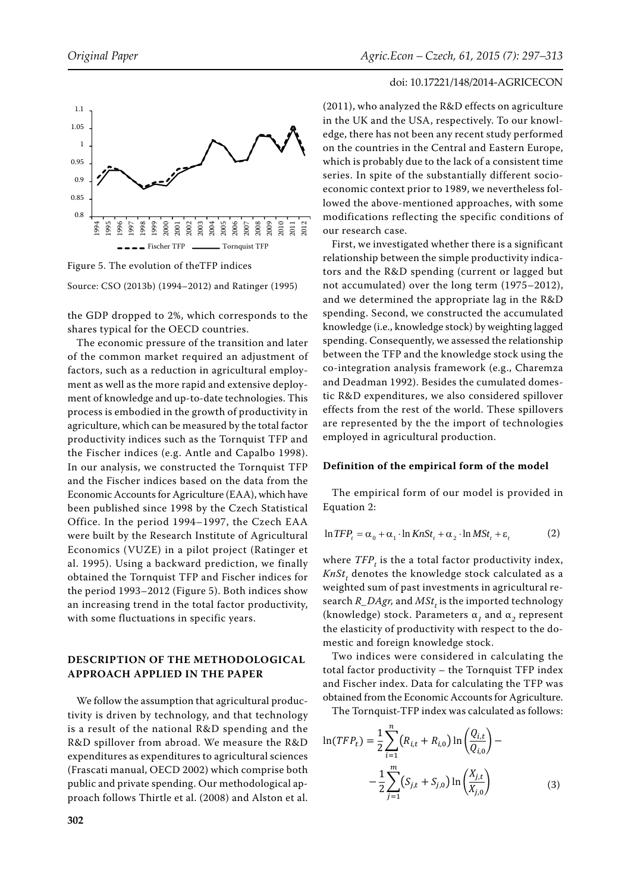





the GDP dropped to 2%, which corresponds to the shares typical for the OECD countries.

The economic pressure of the transition and later of the common market required an adjustment of factors, such as a reduction in agricultural employment as well as the more rapid and extensive deployment of knowledge and up-to-date technologies. This process is embodied in the growth of productivity in agriculture, which can be measured by the total factor productivity indices such as the Tornquist TFP and the Fischer indices (e.g. Antle and Capalbo 1998). In our analysis, we constructed the Tornquist TFP and the Fischer indices based on the data from the Economic Accounts for Agriculture (EAA), which have been published since 1998 by the Czech Statistical Office. In the period 1994–1997, the Czech EAA were built by the Research Institute of Agricultural Economics (VUZE) in a pilot project (Ratinger et al. 1995). Using a backward prediction, we finally obtained the Tornquist TFP and Fischer indices for the period 1993–2012 (Figure 5). Both indices show an increasing trend in the total factor productivity, with some fluctuations in specific years.

## **DESCRIPTION OF THE METHODOLOGICAL APPROACH APPLIED IN THE PAPER**

We follow the assumption that agricultural productivity is driven by technology, and that technology is a result of the national R&D spending and the R&D spillover from abroad. We measure the R&D expenditures as expenditures to agricultural sciences (Frascati manual, OECD 2002) which comprise both public and private spending. Our methodological approach follows Thirtle et al. (2008) and Alston et al.

## doi: 10.17221/148/2014-AGRICECON

(2011), who analyzed the R&D effects on agriculture in the UK and the USA, respectively. To our knowledge, there has not been any recent study performed on the countries in the Central and Eastern Europe, which is probably due to the lack of a consistent time series. In spite of the substantially different socioeconomic context prior to 1989, we nevertheless followed the above-mentioned approaches, with some modifications reflecting the specific conditions of our research case.

First, we investigated whether there is a significant relationship between the simple productivity indicators and the R&D spending (current or lagged but not accumulated) over the long term (1975–2012), and we determined the appropriate lag in the R&D spending. Second, we constructed the accumulated knowledge (i.e., knowledge stock) by weighting lagged spending. Consequently, we assessed the relationship between the TFP and the knowledge stock using the co-integration analysis framework (e.g., Charemza and Deadman 1992). Besides the cumulated domestic R&D expenditures, we also considered spillover effects from the rest of the world. These spillovers are represented by the the import of technologies employed in agricultural production.

#### **Definition of the empirical form of the model**

The empirical form of our model is provided in Equation 2:

$$
\ln TFP_{t} = \alpha_{0} + \alpha_{1} \cdot \ln KnSt_{t} + \alpha_{2} \cdot \ln MSt_{t} + \varepsilon_{t}
$$
 (2)

where  $\mathit{TFP}_t$  is the a total factor productivity index, KnSt<sub>t</sub> denotes the knowledge stock calculated as a weighted sum of past investments in agricultural research *R\_DAgr,* and  $MSt_{t}$  is the imported technology (knowledge) stock. Parameters α*1* and α*2* represent the elasticity of productivity with respect to the domestic and foreign knowledge stock.

Two indices were considered in calculating the total factor productivity – the Tornquist TFP index and Fischer index. Data for calculating the TFP was obtained from the Economic Accounts for Agriculture.

The Tornquist-TFP index was calculated as follows:

$$
\ln(TFP_t) = \frac{1}{2} \sum_{i=1}^{n} (R_{i,t} + R_{i,0}) \ln \left( \frac{Q_{i,t}}{Q_{i,0}} \right) - \frac{1}{2} \sum_{j=1}^{m} (S_{j,t} + S_{j,0}) \ln \left( \frac{X_{j,t}}{X_{j,0}} \right)
$$
(3)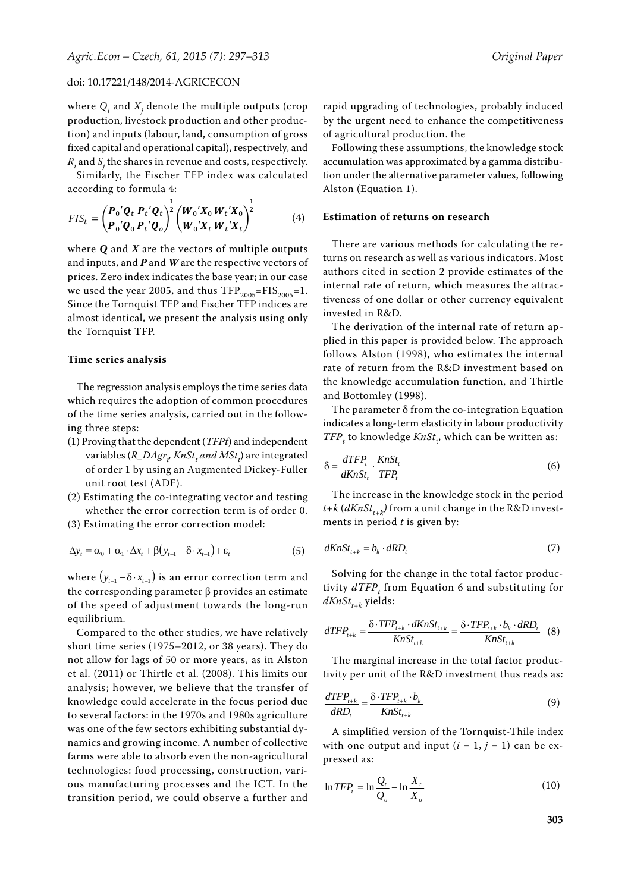where  $Q_i$  and  $X_j$  denote the multiple outputs (crop production, livestock production and other production) and inputs (labour, land, consumption of gross fixed capital and operational capital), respectively, and  $R_i$  and  $S_j$  the shares in revenue and costs, respectively.

Similarly, the Fischer TFP index was calculated according to formula 4:

$$
FIS_t = \left(\frac{\boldsymbol{P}_0'\boldsymbol{Q}_t}{\boldsymbol{P}_0'\boldsymbol{Q}_0}\frac{\boldsymbol{P}_t'\boldsymbol{Q}_t}{\boldsymbol{P}_t'\boldsymbol{Q}_0}\right)^{\frac{1}{2}} \left(\frac{\boldsymbol{W}_0'\boldsymbol{X}_0}{\boldsymbol{W}_0'\boldsymbol{X}_t}\frac{\boldsymbol{W}_t'\boldsymbol{X}_0}{\boldsymbol{W}_t'\boldsymbol{X}_t}\right)^{\frac{1}{2}}
$$
(4)

where *Q* and *X* are the vectors of multiple outputs and inputs, and *P* and *W* are the respective vectors of prices. Zero index indicates the base year; in our case we used the year 2005, and thus  $TFP<sub>2005</sub>=FIS<sub>2005</sub>=1$ . Since the Tornquist TFP and Fischer TFP indices are almost identical, we present the analysis using only the Tornquist TFP.

#### **Time series analysis**

The regression analysis employs the time series data which requires the adoption of common procedures of the time series analysis, carried out in the following three steps:

- (1) Proving that the dependent (*TFPt*) and independent variables (*R\_DAgr<sub>t</sub>, KnSt<sub>t</sub> and MSt<sub>t</sub>) are integrated* of order 1 by using an Augmented Dickey-Fuller unit root test (ADF).
- (2) Estimating the co-integrating vector and testing whether the error correction term is of order 0.
- (3) Estimating the error correction model:

$$
\Delta y_t = \alpha_0 + \alpha_1 \cdot \Delta x_t + \beta (y_{t-1} - \delta \cdot x_{t-1}) + \varepsilon_t \tag{5}
$$

where  $(y_{t-1} - \delta \cdot x_{t-1})$  is an error correction term and the corresponding parameter  $β$  provides an estimate of the speed of adjustment towards the long-run equilibrium.

Compared to the other studies, we have relatively short time series (1975–2012, or 38 years). They do not allow for lags of 50 or more years, as in Alston et al. (2011) or Thirtle et al. (2008). This limits our analysis; however, we believe that the transfer of knowledge could accelerate in the focus period due to several factors: in the 1970s and 1980s agriculture was one of the few sectors exhibiting substantial dynamics and growing income. A number of collective farms were able to absorb even the non-agricultural technologies: food processing, construction, various manufacturing processes and the ICT. In the transition period, we could observe a further and

rapid upgrading of technologies, probably induced by the urgent need to enhance the competitiveness of agricultural production. the

Following these assumptions, the knowledge stock accumulation was approximated by a gamma distribution under the alternative parameter values, following Alston (Equation 1).

#### **Estimation of returns on research**

There are various methods for calculating the returns on research as well as various indicators. Most authors cited in section 2 provide estimates of the internal rate of return, which measures the attractiveness of one dollar or other currency equivalent invested in R&D.

The derivation of the internal rate of return applied in this paper is provided below. The approach follows Alston (1998), who estimates the internal rate of return from the R&D investment based on the knowledge accumulation function, and Thirtle and Bottomley (1998).

The parameter δ from the co-integration Equation indicates a long-term elasticity in labour productivity  $TFP_t$  to knowledge  $KnSt_t$ , which can be written as:

$$
\delta = \frac{dTFP_i}{dKnSt_i} \cdot \frac{KnSt_i}{TFP_i} \tag{6}
$$

The increase in the knowledge stock in the period  $t+k$  ( $dKnSt_{t+k}$ ) from a unit change in the R&D investments in period *t* is given by:

$$
dKnSt_{t_{t+k}} = b_k \cdot dRD_t \tag{7}
$$

Solving for the change in the total factor productivity  $dTFP<sub>t</sub>$  from Equation 6 and substituting for  $dKnSt_{t+k}$  yields:

$$
dTFP_{t+k} = \frac{\delta \cdot TFP_{t+k} \cdot dKnSt_{t+k}}{KnSt_{t+k}} = \frac{\delta \cdot TFP_{t+k} \cdot b_k \cdot dRD_t}{KnSt_{t+k}} \tag{8}
$$

The marginal increase in the total factor productivity per unit of the R&D investment thus reads as:

$$
\frac{dTFP_{t+k}}{dRD_t} = \frac{\delta \cdot TFP_{t+k} \cdot b_k}{KnSt_{t+k}}
$$
\n(9)

A simplified version of the Tornquist-Thile index with one output and input  $(i = 1, j = 1)$  can be expressed as:

$$
\ln TFP_t = \ln \frac{Q_t}{Q_o} - \ln \frac{X_t}{X_o}
$$
\n(10)

**303**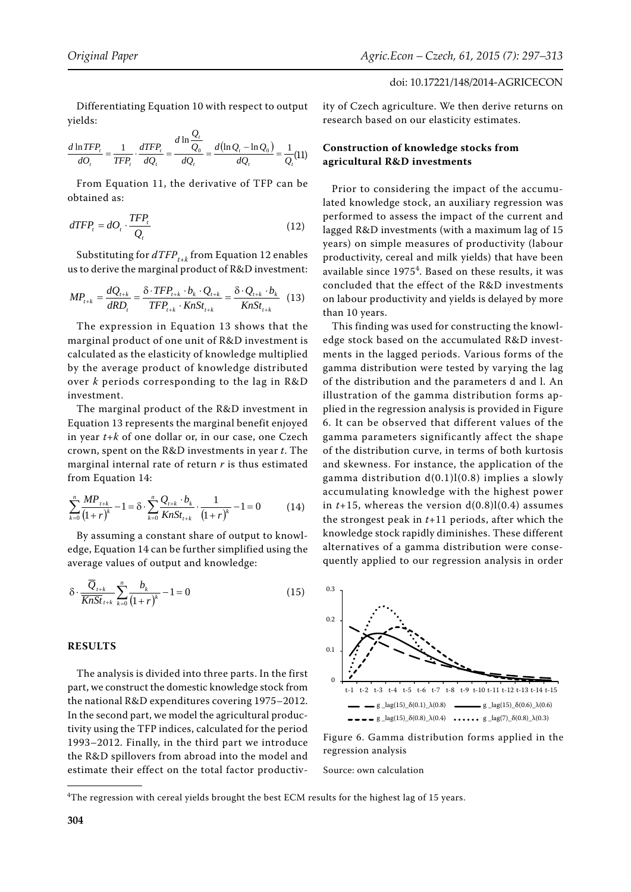Differentiating Equation 10 with respect to output yields:  $\overline{Q}$ 

$$
\frac{d \ln TFP_t}{dO_t} = \frac{1}{TFP_t} \cdot \frac{dTFP_t}{dQ_t} = \frac{d \ln \frac{Q_t}{Q_0}}{dQ_t} = \frac{d(\ln Q_t - \ln Q_0)}{dQ_t} = \frac{1}{Q_t}(11)
$$

From Equation 11, the derivative of TFP can be obtained as:

$$
dTFP_t = dO_t \cdot \frac{TFP_t}{Q_t} \tag{12}
$$

Substituting for  $dTFP_{t+k}$  from Equation 12 enables us to derive the marginal product of R&D investment:

$$
MP_{t+k} = \frac{dQ_{t+k}}{dRD_t} = \frac{\delta \cdot TFP_{t+k} \cdot b_k \cdot Q_{t+k}}{TFP_{t+k} \cdot KnSt_{t+k}} = \frac{\delta \cdot Q_{t+k} \cdot b_k}{KnSt_{t+k}}
$$
(13)

The expression in Equation 13 shows that the marginal product of one unit of R&D investment is calculated as the elasticity of knowledge multiplied by the average product of knowledge distributed over *k* periods corresponding to the lag in R&D investment.

The marginal product of the R&D investment in Equation 13 represents the marginal benefit enjoyed in year *t+k* of one dollar or, in our case, one Czech crown, spent on the R&D investments in year *t*. The marginal internal rate of return *r* is thus estimated from Equation 14:

$$
\sum_{k=0}^{n} \frac{MP_{t+k}}{(1+r)^{k}} - 1 = \delta \cdot \sum_{k=0}^{n} \frac{Q_{t+k} \cdot b_{k}}{KnSt_{t+k}} \cdot \frac{1}{(1+r)^{k}} - 1 = 0 \tag{14}
$$

By assuming a constant share of output to knowledge, Equation 14 can be further simplified using the average values of output and knowledge:

$$
\delta \cdot \frac{\overline{Q}_{t+k}}{\overline{KnSt}} \sum_{t=k}^{n} \frac{b_k}{(1+r)^k} - 1 = 0 \tag{15}
$$

## **RESULTS**

The analysis is divided into three parts. In the first part, we construct the domestic knowledge stock from the national R&D expenditures covering 1975–2012. In the second part, we model the agricultural productivity using the TFP indices, calculated for the period 1993–2012. Finally, in the third part we introduce the R&D spillovers from abroad into the model and estimate their effect on the total factor productiv-

ity of Czech agriculture. We then derive returns on research based on our elasticity estimates.

## **Construction of knowledge stocks from agricultural R&D investments**

Prior to considering the impact of the accumulated knowledge stock, an auxiliary regression was performed to assess the impact of the current and lagged R&D investments (with a maximum lag of 15 years) on simple measures of productivity (labour productivity, cereal and milk yields) that have been available since 1975<sup>4</sup>. Based on these results, it was concluded that the effect of the R&D investments on labour productivity and yields is delayed by more than 10 years.

This finding was used for constructing the knowledge stock based on the accumulated R&D investments in the lagged periods. Various forms of the gamma distribution were tested by varying the lag of the distribution and the parameters d and l. An illustration of the gamma distribution forms applied in the regression analysis is provided in Figure 6. It can be observed that different values of the gamma parameters significantly affect the shape of the distribution curve, in terms of both kurtosis and skewness. For instance, the application of the gamma distribution d(0.1)l(0.8) implies a slowly accumulating knowledge with the highest power in  $t+15$ , whereas the version  $d(0.8)l(0.4)$  assumes the strongest peak in *t*+11 periods, after which the knowledge stock rapidly diminishes. These different alternatives of a gamma distribution were consequently applied to our regression analysis in order



Figure 6. Gamma distribution forms applied in the regression analysis

 ${}^{4}$ The regression with cereal yields brought the best ECM results for the highest lag of 15 years.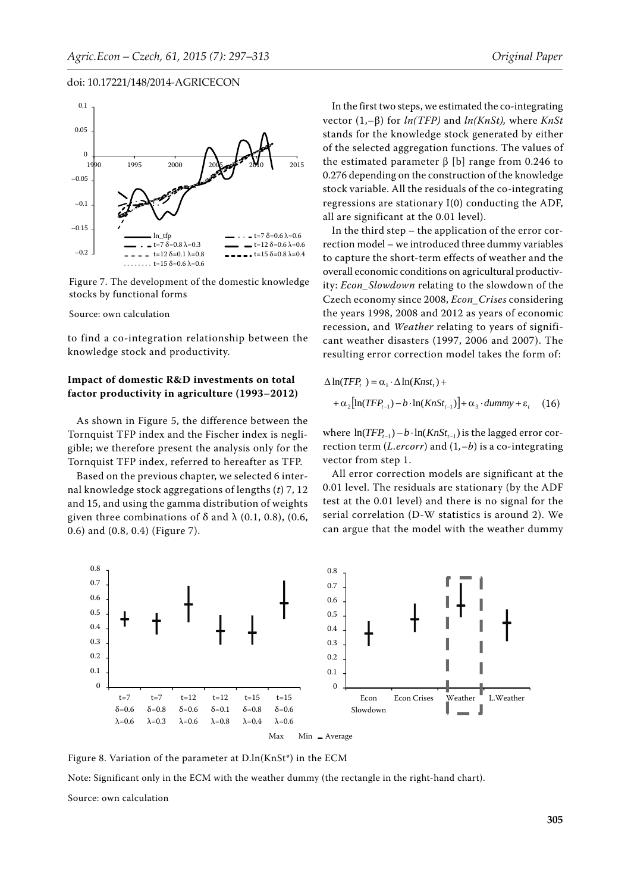

Figure 7. The development of the domestic knowledge stocks by functional forms

#### Source: own calculation

to find a co-integration relationship between the knowledge stock and productivity.

## **Impact of domestic R&D investments on total factor productivity in agriculture (1993–2012)**

As shown in Figure 5, the difference between the Tornquist TFP index and the Fischer index is negligible; we therefore present the analysis only for the Tornquist TFP index, referred to hereafter as TFP.

Based on the previous chapter, we selected 6 internal knowledge stock aggregations of lengths (*t*) 7, 12 and 15, and using the gamma distribution of weights given three combinations of  $\delta$  and  $\lambda$  (0.1, 0.8), (0.6, 0.6) and (0.8, 0.4) (Figure 7).

In the first two steps, we estimated the co-integrating vector (1,–β) for *ln(TFP)* and *ln(KnSt),* where *KnSt* stands for the knowledge stock generated by either of the selected aggregation functions. The values of the estimated parameter  $β$  [b] range from 0.246 to 0.276 depending on the construction of the knowledge stock variable. All the residuals of the co-integrating regressions are stationary I(0) conducting the ADF, all are significant at the 0.01 level).

In the third step – the application of the error correction model – we introduced three dummy variables to capture the short-term effects of weather and the overall economic conditions on agricultural productivity: *Econ\_Slowdown* relating to the slowdown of the Czech economy since 2008, *Econ\_Crises* considering the years 1998, 2008 and 2012 as years of economic recession, and *Weather* relating to years of significant weather disasters (1997, 2006 and 2007). The resulting error correction model takes the form of:

$$
\Delta \ln(TFP_t) = \alpha_1 \cdot \Delta \ln(Knst_t) +
$$
  
+ 
$$
\alpha_2 [\ln(TFP_{t-1}) - b \cdot \ln(KnSt_{t-1})] + \alpha_3 \cdot dummy + \varepsilon_t
$$
 (16)

where  $\ln(TFP_{t-1}) - b \cdot \ln(KnSt_{t-1})$  is the lagged error correction term (*L.ercorr*) and (1*,–b*) is a co-integrating vector from step 1.

All error correction models are significant at the 0.01 level. The residuals are stationary (by the ADF test at the 0.01 level) and there is no signal for the serial correlation (D-W statistics is around 2). We can argue that the model with the weather dummy



Figure 8. Variation of the parameter at D.ln(KnSt\*) in the ECM

Note: Significant only in the ECM with the weather dummy (the rectangle in the right-hand chart).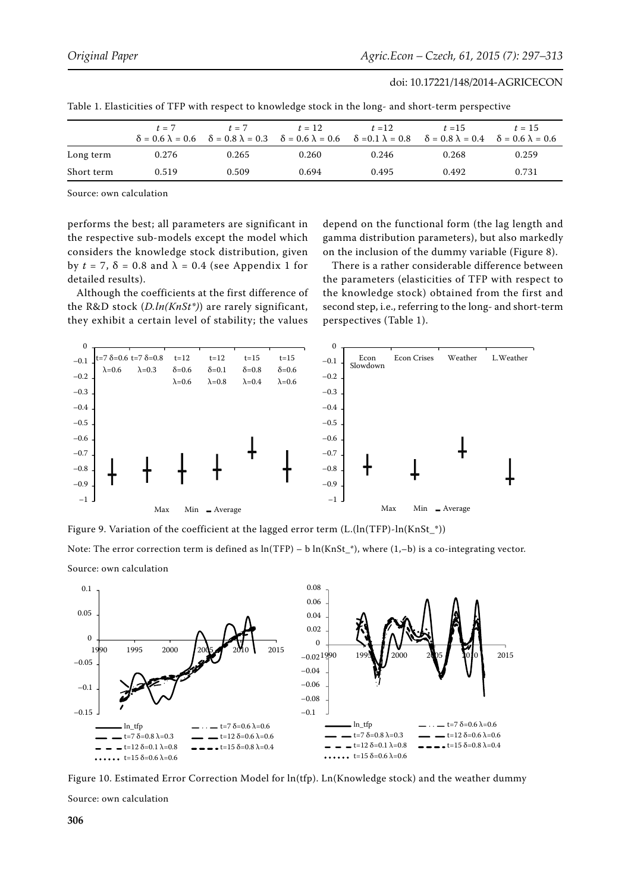|            | $t = 7$ | $t = 7$ | $t = 12$                                                                                                            | $t=12$ | $t = 15$                                                  | $t = 15$ |
|------------|---------|---------|---------------------------------------------------------------------------------------------------------------------|--------|-----------------------------------------------------------|----------|
|            |         |         | $\delta = 0.6 \lambda = 0.6$ $\delta = 0.8 \lambda = 0.3$ $\delta = 0.6 \lambda = 0.6$ $\delta = 0.1 \lambda = 0.8$ |        | $\delta = 0.8 \lambda = 0.4$ $\delta = 0.6 \lambda = 0.6$ |          |
| Long term  | 0.276   | 0.265   | 0.260                                                                                                               | 0.246  | 0.268                                                     | 0.259    |
| Short term | 0.519   | 0.509   | 0.694                                                                                                               | 0.495  | 0.492                                                     | 0.731    |

Table 1. Elasticities of TFP with respect to knowledge stock in the long- and short-term perspective

Source: own calculation

performs the best; all parameters are significant in the respective sub-models except the model which considers the knowledge stock distribution, given by  $t = 7$ ,  $\delta = 0.8$  and  $\lambda = 0.4$  (see Appendix 1 for detailed results).

Although the coefficients at the first difference of the R&D stock (*D.ln(KnSt\*)*) are rarely significant, they exhibit a certain level of stability; the values

depend on the functional form (the lag length and gamma distribution parameters), but also markedly on the inclusion of the dummy variable (Figure 8).

There is a rather considerable difference between the parameters (elasticities of TFP with respect to the knowledge stock) obtained from the first and second step, i.e., referring to the long- and short-term perspectives (Table 1).





Max Min Average

Figure 9. Variation of the coefficient at the lagged error term (L.(ln(TFP)-ln(KnSt\_\*))

Note: The error correction term is defined as  $ln(TFP) - b ln(KnSt<sup>*</sup>)$ , where  $(1,-b)$  is a co-integrating vector. Source: own calculation



Figure 10. Estimated Error Correction Model for ln(tfp). Ln(Knowledge stock) and the weather dummy Source: own calculation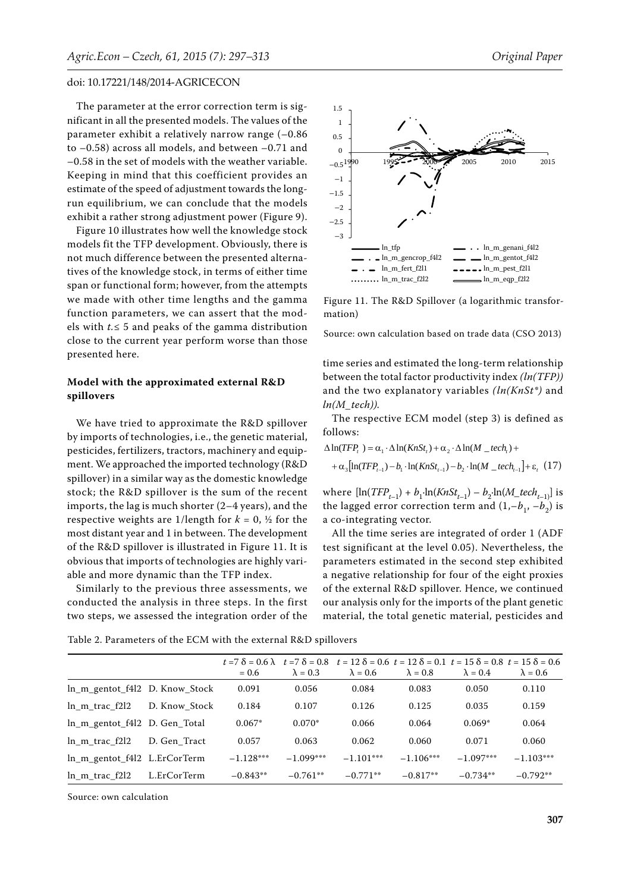The parameter at the error correction term is significant in all the presented models. The values of the parameter exhibit a relatively narrow range (–0.86 to –0.58) across all models, and between –0.71 and –0.58 in the set of models with the weather variable. Keeping in mind that this coefficient provides an estimate of the speed of adjustment towards the longrun equilibrium, we can conclude that the models exhibit a rather strong adjustment power (Figure 9).

Figure 10 illustrates how well the knowledge stock models fit the TFP development. Obviously, there is not much difference between the presented alternatives of the knowledge stock, in terms of either time span or functional form; however, from the attempts we made with other time lengths and the gamma function parameters, we can assert that the models with *t.*≤ 5 and peaks of the gamma distribution close to the current year perform worse than those presented here.

## **Model with the approximated external R&D spillovers**

We have tried to approximate the R&D spillover by imports of technologies, i.e., the genetic material, pesticides, fertilizers, tractors, machinery and equipment. We approached the imported technology (R&D spillover) in a similar way as the domestic knowledge stock; the R&D spillover is the sum of the recent imports, the lag is much shorter (2–4 years), and the respective weights are 1/length for  $k = 0$ ,  $\frac{1}{2}$  for the most distant year and 1 in between. The development of the R&D spillover is illustrated in Figure 11. It is obvious that imports of technologies are highly variable and more dynamic than the TFP index.

Similarly to the previous three assessments, we conducted the analysis in three steps. In the first two steps, we assessed the integration order of the



Figure 11. The R&D Spillover (a logarithmic transformation)

Source: own calculation based on trade data (CSO 2013)

time series and estimated the long-term relationship between the total factor productivity index *(ln(TFP))*  and the two explanatory variables *(ln(KnSt\*)* and *ln(M\_tech)).*

The respective ECM model (step 3) is defined as follows:

*<sup>t</sup> <sup>t</sup> <sup>t</sup>* ln(*TFP* ) <sup>1</sup> ln(*KnSt* ) <sup>2</sup> ln(*M* \_ *tech* )  $t + \alpha_{3} \left[ \ln(TFP_{t-1}) - b_{1} \cdot \ln(KnSt_{t-1}) - b_{2} \cdot \ln(M_{\text{ }-}tech_{t-1} \right] + \varepsilon_{t}$  (17)

where  $[\ln(TFP_{t-1}) + b_1 \cdot \ln(KnSt_{t-1}) - b_2 \cdot \ln(M\_tech_{t-1})]$  is the lagged error correction term and  $(1,-b_1, -b_2)$  is a co-integrating vector.

All the time series are integrated of order 1 (ADF test significant at the level 0.05). Nevertheless, the parameters estimated in the second step exhibited a negative relationship for four of the eight proxies of the external R&D spillover. Hence, we continued our analysis only for the imports of the plant genetic material, the total genetic material, pesticides and

Table 2. Parameters of the ECM with the external R&D spillovers

|                                |               | $= 0.6$     | $\lambda = 0.3$ | $t = 7$ $\delta = 0.6$ $\lambda$ $t = 7$ $\delta = 0.8$ $t = 12$ $\delta = 0.6$ $t = 12$ $\delta = 0.1$ $t = 15$ $\delta = 0.8$ $t = 15$ $\delta = 0.6$<br>$\lambda = 0.6$ | $\lambda = 0.8$ | $\lambda = 0.4$ | $\lambda = 0.6$ |
|--------------------------------|---------------|-------------|-----------------|----------------------------------------------------------------------------------------------------------------------------------------------------------------------------|-----------------|-----------------|-----------------|
| In m gentot f4l2 D. Know Stock |               | 0.091       | 0.056           | 0.084                                                                                                                                                                      | 0.083           | 0.050           | 0.110           |
| $\ln m$ trac $f2l2$            | D. Know Stock | 0.184       | 0.107           | 0.126                                                                                                                                                                      | 0.125           | 0.035           | 0.159           |
| In m gentot f4l2 D. Gen Total  |               | $0.067*$    | $0.070*$        | 0.066                                                                                                                                                                      | 0.064           | $0.069*$        | 0.064           |
| ln m trac f2l2                 | D. Gen Tract  | 0.057       | 0.063           | 0.062                                                                                                                                                                      | 0.060           | 0.071           | 0.060           |
| In m gentot f4l2 L.ErCorTerm   |               | $-1.128***$ | $-1.099***$     | $-1.101***$                                                                                                                                                                | $-1.106***$     | $-1.097***$     | $-1.103***$     |
| ln m trac f2l2                 | L.ErCorTerm   | $-0.843**$  | $-0.761**$      | $-0.771**$                                                                                                                                                                 | $-0.817**$      | $-0.734**$      | $-0.792**$      |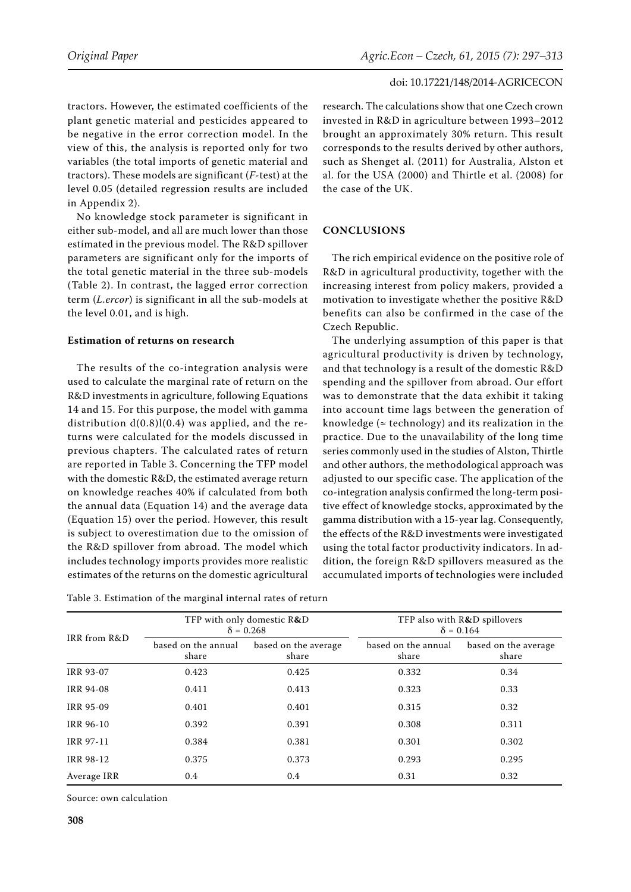tractors. However, the estimated coefficients of the plant genetic material and pesticides appeared to be negative in the error correction model. In the view of this, the analysis is reported only for two variables (the total imports of genetic material and tractors). These models are significant (*F*-test) at the level 0.05 (detailed regression results are included in Appendix 2).

No knowledge stock parameter is significant in either sub-model, and all are much lower than those estimated in the previous model. The R&D spillover parameters are significant only for the imports of the total genetic material in the three sub-models (Table 2). In contrast, the lagged error correction term (*L.ercor*) is significant in all the sub-models at the level 0.01, and is high.

### **Estimation of returns on research**

The results of the co-integration analysis were used to calculate the marginal rate of return on the R&D investments in agriculture, following Equations 14 and 15. For this purpose, the model with gamma distribution  $d(0.8)l(0.4)$  was applied, and the returns were calculated for the models discussed in previous chapters. The calculated rates of return are reported in Table 3. Concerning the TFP model with the domestic R&D, the estimated average return on knowledge reaches 40% if calculated from both the annual data (Equation 14) and the average data (Equation 15) over the period. However, this result is subject to overestimation due to the omission of the R&D spillover from abroad. The model which includes technology imports provides more realistic estimates of the returns on the domestic agricultural

| Table 3. Estimation of the marginal internal rates of return |  |
|--------------------------------------------------------------|--|
|--------------------------------------------------------------|--|

research. The calculations show that one Czech crown invested in R&D in agriculture between 1993–2012 brought an approximately 30% return. This result corresponds to the results derived by other authors, such as Shenget al. (2011) for Australia, Alston et al. for the USA (2000) and Thirtle et al. (2008) for the case of the UK.

## **CONCLUSIONS**

The rich empirical evidence on the positive role of R&D in agricultural productivity, together with the increasing interest from policy makers, provided a motivation to investigate whether the positive R&D benefits can also be confirmed in the case of the Czech Republic.

The underlying assumption of this paper is that agricultural productivity is driven by technology, and that technology is a result of the domestic R&D spending and the spillover from abroad. Our effort was to demonstrate that the data exhibit it taking into account time lags between the generation of knowledge ( $\approx$  technology) and its realization in the practice. Due to the unavailability of the long time series commonly used in the studies of Alston, Thirtle and other authors, the methodological approach was adjusted to our specific case. The application of the co-integration analysis confirmed the long-term positive effect of knowledge stocks, approximated by the gamma distribution with a 15-year lag. Consequently, the effects of the R&D investments were investigated using the total factor productivity indicators. In addition, the foreign R&D spillovers measured as the accumulated imports of technologies were included

|                  |                              | TFP with only domestic R&D<br>$\delta = 0.268$ |                              | TFP also with R&D spillovers<br>$\delta = 0.164$ |
|------------------|------------------------------|------------------------------------------------|------------------------------|--------------------------------------------------|
| IRR from R&D     | based on the annual<br>share | based on the average<br>share                  | based on the annual<br>share | based on the average<br>share                    |
| <b>IRR 93-07</b> | 0.423                        | 0.425                                          | 0.332                        | 0.34                                             |
| <b>IRR 94-08</b> | 0.411                        | 0.413                                          | 0.323                        | 0.33                                             |
| <b>IRR 95-09</b> | 0.401                        | 0.401                                          | 0.315                        | 0.32                                             |
| <b>IRR 96-10</b> | 0.392                        | 0.391                                          | 0.308                        | 0.311                                            |
| IRR 97-11        | 0.384                        | 0.381                                          | 0.301                        | 0.302                                            |
| <b>IRR 98-12</b> | 0.375                        | 0.373                                          | 0.293                        | 0.295                                            |
| Average IRR      | 0.4                          | 0.4                                            | 0.31                         | 0.32                                             |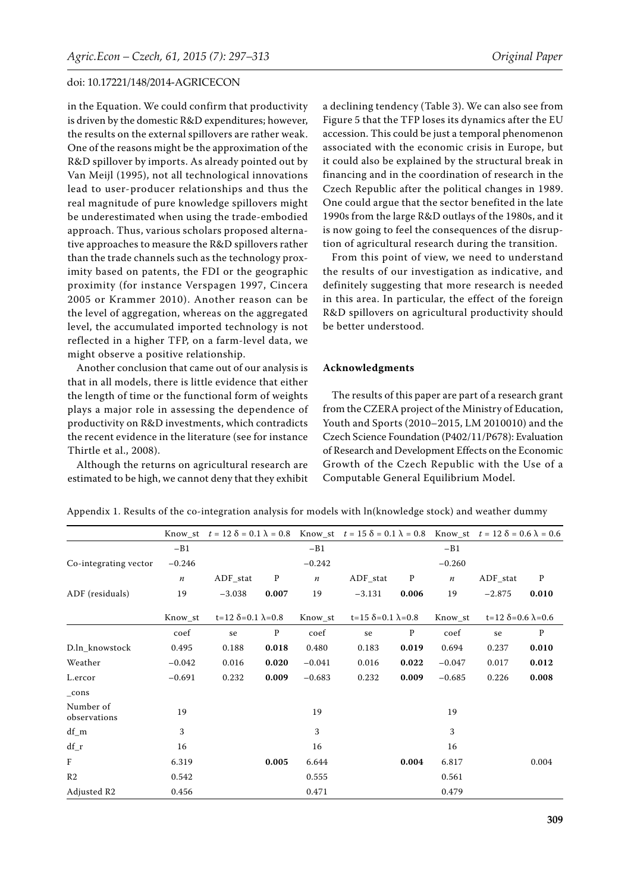in the Equation. We could confirm that productivity is driven by the domestic R&D expenditures; however, the results on the external spillovers are rather weak. One of the reasons might be the approximation of the R&D spillover by imports. As already pointed out by Van Meijl (1995), not all technological innovations lead to user-producer relationships and thus the real magnitude of pure knowledge spillovers might be underestimated when using the trade-embodied approach. Thus, various scholars proposed alternative approaches to measure the R&D spillovers rather than the trade channels such as the technology proximity based on patents, the FDI or the geographic proximity (for instance Verspagen 1997, Cincera 2005 or Krammer 2010). Another reason can be the level of aggregation, whereas on the aggregated level, the accumulated imported technology is not reflected in a higher TFP, on a farm-level data, we might observe a positive relationship.

Another conclusion that came out of our analysis is that in all models, there is little evidence that either the length of time or the functional form of weights plays a major role in assessing the dependence of productivity on R&D investments, which contradicts the recent evidence in the literature (see for instance Thirtle et al., 2008).

Although the returns on agricultural research are estimated to be high, we cannot deny that they exhibit

a declining tendency (Table 3). We can also see from Figure 5 that the TFP loses its dynamics after the EU accession. This could be just a temporal phenomenon associated with the economic crisis in Europe, but it could also be explained by the structural break in financing and in the coordination of research in the Czech Republic after the political changes in 1989. One could argue that the sector benefited in the late 1990s from the large R&D outlays of the 1980s, and it is now going to feel the consequences of the disruption of agricultural research during the transition.

From this point of view, we need to understand the results of our investigation as indicative, and definitely suggesting that more research is needed in this area. In particular, the effect of the foreign R&D spillovers on agricultural productivity should be better understood.

#### **Acknowledgments**

The results of this paper are part of a research grant from the CZERA project of the Ministry of Education, Youth and Sports (2010–2015, LM 2010010) and the Czech Science Foundation (P402/11/P678): Evaluation of Research and Development Effects on the Economic Growth of the Czech Republic with the Use of a Computable General Equilibrium Model.

|                           |                  |                                   |              |                  | Know_st $t = 12 \delta = 0.1 \lambda = 0.8$ Know_st $t = 15 \delta = 0.1 \lambda = 0.8$ Know_st $t = 12 \delta = 0.6 \lambda = 0.6$ |              |                  |                               |              |
|---------------------------|------------------|-----------------------------------|--------------|------------------|-------------------------------------------------------------------------------------------------------------------------------------|--------------|------------------|-------------------------------|--------------|
|                           | $-B1$            |                                   |              | $-B1$            |                                                                                                                                     |              | $-B1$            |                               |              |
| Co-integrating vector     | $-0.246$         |                                   |              | $-0.242$         |                                                                                                                                     |              | $-0.260$         |                               |              |
|                           | $\boldsymbol{n}$ | $ADF_{stat}$                      | P            | $\boldsymbol{n}$ | $ADF_{stat}$                                                                                                                        | $\mathbf{P}$ | $\boldsymbol{n}$ | ADF stat                      | P            |
| ADF (residuals)           | 19               | $-3.038$                          | 0.007        | 19               | $-3.131$                                                                                                                            | 0.006        | 19               | $-2.875$                      | 0.010        |
|                           | Know st          | $t=12 \delta = 0.1 \lambda = 0.8$ |              | Know st          | $t=15 \delta = 0.1 \lambda = 0.8$                                                                                                   |              | Know st          | $t=12 \delta=0.6 \lambda=0.6$ |              |
|                           | coef             | se                                | $\mathbf{P}$ | coef             | se                                                                                                                                  | $\mathbf{P}$ | coef             | se                            | $\mathbf{P}$ |
| D.ln knowstock            | 0.495            | 0.188                             | 0.018        | 0.480            | 0.183                                                                                                                               | 0.019        | 0.694            | 0.237                         | 0.010        |
| Weather                   | $-0.042$         | 0.016                             | 0.020        | $-0.041$         | 0.016                                                                                                                               | 0.022        | $-0.047$         | 0.017                         | 0.012        |
| L.ercor                   | $-0.691$         | 0.232                             | 0.009        | $-0.683$         | 0.232                                                                                                                               | 0.009        | $-0.685$         | 0.226                         | 0.008        |
| $_{\rm cons}$             |                  |                                   |              |                  |                                                                                                                                     |              |                  |                               |              |
| Number of<br>observations | 19               |                                   |              | 19               |                                                                                                                                     |              | 19               |                               |              |
| $df_m$                    | 3                |                                   |              | 3                |                                                                                                                                     |              | 3                |                               |              |
| $df_r$                    | 16               |                                   |              | 16               |                                                                                                                                     |              | 16               |                               |              |
| $\mathbf{F}$              | 6.319            |                                   | 0.005        | 6.644            |                                                                                                                                     | 0.004        | 6.817            |                               | 0.004        |
| R <sub>2</sub>            | 0.542            |                                   |              | 0.555            |                                                                                                                                     |              | 0.561            |                               |              |
| Adjusted R2               | 0.456            |                                   |              | 0.471            |                                                                                                                                     |              | 0.479            |                               |              |

Appendix 1. Results of the co-integration analysis for models with ln(knowledge stock) and weather dummy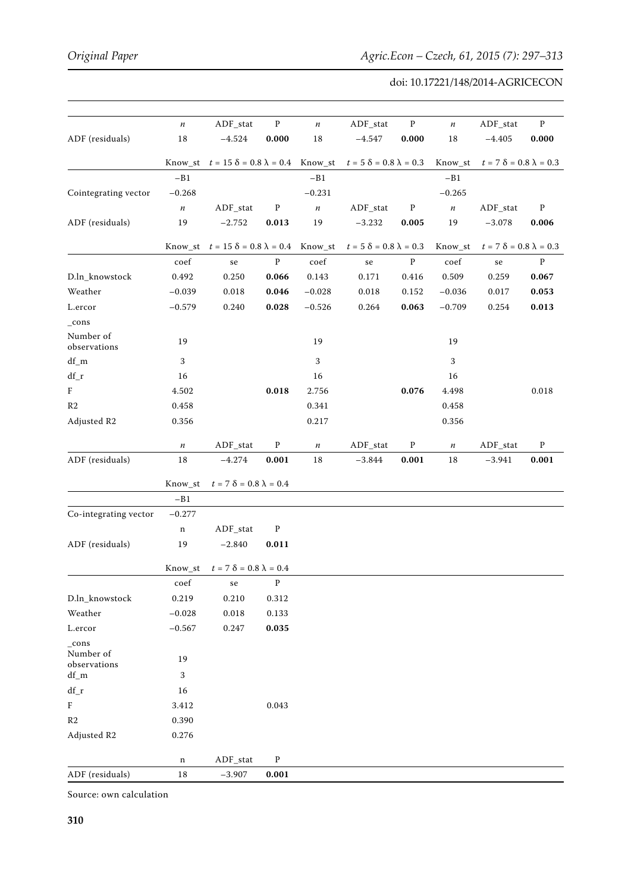|                           | $\sqrt{n}$               | $\mbox{ADF\_stat}$                                  | ${\bf P}$    | $\sqrt{n}$               | $ADF_{stat}$                       | ${\bf P}$    | $\sqrt{n}$               | $\mbox{ADF\_stat}$                 | ${\bf P}$    |
|---------------------------|--------------------------|-----------------------------------------------------|--------------|--------------------------|------------------------------------|--------------|--------------------------|------------------------------------|--------------|
| ADF (residuals)           | $18\,$                   | $-4.524$                                            | 0.000        | $18\,$                   | $-4.547$                           | 0.000        | $18\,$                   | $-4.405$                           | 0.000        |
|                           |                          | Know_st $t = 15 \delta = 0.8 \lambda = 0.4$ Know_st |              |                          | $t=5$ $\delta=0.8$ $\lambda=0.3$   |              | Know_st                  | $t = 7 \delta = 0.8 \lambda = 0.3$ |              |
|                           | $-B1$                    |                                                     |              | $-B1$                    |                                    |              | $-B1$                    |                                    |              |
| Cointegrating vector      | $-0.268$                 |                                                     |              | $-0.231$                 |                                    |              | $-0.265$                 |                                    |              |
|                           | $\sqrt{n}$               | ADF_stat                                            | ${\bf P}$    | $\sqrt{n}$               | ADF_stat                           | ${\bf P}$    | $\sqrt{n}$               | ADF_stat                           | $\mathbf{P}$ |
| ADF (residuals)           | 19                       | $-2.752$                                            | 0.013        | 19                       | $-3.232$                           | 0.005        | 19                       | $-3.078$                           | 0.006        |
|                           |                          |                                                     |              |                          |                                    |              |                          |                                    |              |
|                           |                          | Know_st $t = 15 \delta = 0.8 \lambda = 0.4$         |              | Know_st                  | $t = 5 \delta = 0.8 \lambda = 0.3$ |              | Know_st                  | $t = 7 \delta = 0.8 \lambda = 0.3$ |              |
|                           | coef                     | se                                                  | ${\bf P}$    | $\mathop{\mathrm{coef}}$ | se                                 | $\, {\bf p}$ | $\mathop{\mathrm{coef}}$ | $\rm se$                           | $\mathbf P$  |
| D.ln_knowstock            | 0.492                    | 0.250                                               | 0.066        | 0.143                    | 0.171                              | 0.416        | 0.509                    | 0.259                              | 0.067        |
| Weather                   | $-0.039$                 | 0.018                                               | 0.046        | $-0.028$                 | 0.018                              | 0.152        | $-0.036$                 | 0.017                              | 0.053        |
| $\it L. ercor$            | $-0.579$                 | 0.240                                               | 0.028        | $-0.526$                 | 0.264                              | 0.063        | $-0.709$                 | 0.254                              | 0.013        |
| $_{\rm cons}$             |                          |                                                     |              |                          |                                    |              |                          |                                    |              |
| Number of<br>observations | 19                       |                                                     |              | 19                       |                                    |              | 19                       |                                    |              |
| $df\_m$                   | 3                        |                                                     |              | 3                        |                                    |              | 3                        |                                    |              |
| $df_r$                    | 16                       |                                                     |              | 16                       |                                    |              | 16                       |                                    |              |
| $\boldsymbol{\mathrm{F}}$ | 4.502                    |                                                     | 0.018        | 2.756                    |                                    | 0.076        | 4.498                    |                                    | $0.018\,$    |
| R <sub>2</sub>            | 0.458                    |                                                     |              | 0.341                    |                                    |              | 0.458                    |                                    |              |
| Adjusted R2               | 0.356                    |                                                     |              | 0.217                    |                                    |              | 0.356                    |                                    |              |
|                           | $\sqrt{n}$               | ADF_stat                                            | ${\bf P}$    | $\sqrt{n}$               | ADF_stat                           | ${\bf P}$    | $\sqrt{n}$               | $ADF_{stat}$                       | P            |
| ADF (residuals)           | 18                       | $-4.274$                                            | 0.001        | $18\,$                   | $-3.844$                           | 0.001        | $18\,$                   | $-3.941$                           | 0.001        |
|                           | Know_st                  | $t=7$ $\delta=0.8$ $\lambda=0.4$                    |              |                          |                                    |              |                          |                                    |              |
|                           | $-B1$                    |                                                     |              |                          |                                    |              |                          |                                    |              |
| Co-integrating vector     | $-0.277$                 |                                                     |              |                          |                                    |              |                          |                                    |              |
|                           | $\mathbf n$              | $ADF_{stat}$                                        | ${\bf P}$    |                          |                                    |              |                          |                                    |              |
| ADF (residuals)           | 19                       | $-2.840$                                            | 0.011        |                          |                                    |              |                          |                                    |              |
|                           | Know_st                  | $t=7$ $\delta=0.8$ $\lambda=0.4$                    |              |                          |                                    |              |                          |                                    |              |
|                           | $\mathop{\mathrm{coef}}$ | se                                                  | ${\bf p}$    |                          |                                    |              |                          |                                    |              |
| D.ln_knowstock            | 0.219                    | 0.210                                               | 0.312        |                          |                                    |              |                          |                                    |              |
| Weather                   | $-0.028$                 | 0.018                                               | 0.133        |                          |                                    |              |                          |                                    |              |
| L.ercor                   | $-0.567$                 | 0.247                                               | 0.035        |                          |                                    |              |                          |                                    |              |
| cons<br>Number of         | 19                       |                                                     |              |                          |                                    |              |                          |                                    |              |
| observations<br>$df_m$    | 3                        |                                                     |              |                          |                                    |              |                          |                                    |              |
| $df_r$                    | 16                       |                                                     |              |                          |                                    |              |                          |                                    |              |
| $\rm F$                   | 3.412                    |                                                     | $\,0.043\,$  |                          |                                    |              |                          |                                    |              |
| R <sub>2</sub>            | 0.390                    |                                                     |              |                          |                                    |              |                          |                                    |              |
|                           |                          |                                                     |              |                          |                                    |              |                          |                                    |              |
| Adjusted R2               | 0.276                    |                                                     |              |                          |                                    |              |                          |                                    |              |
|                           | $\mathbf n$              | ADF_stat                                            | $\mathbf{p}$ |                          |                                    |              |                          |                                    |              |
| ADF (residuals)           | $18\,$                   | $-3.907$                                            | 0.001        |                          |                                    |              |                          |                                    |              |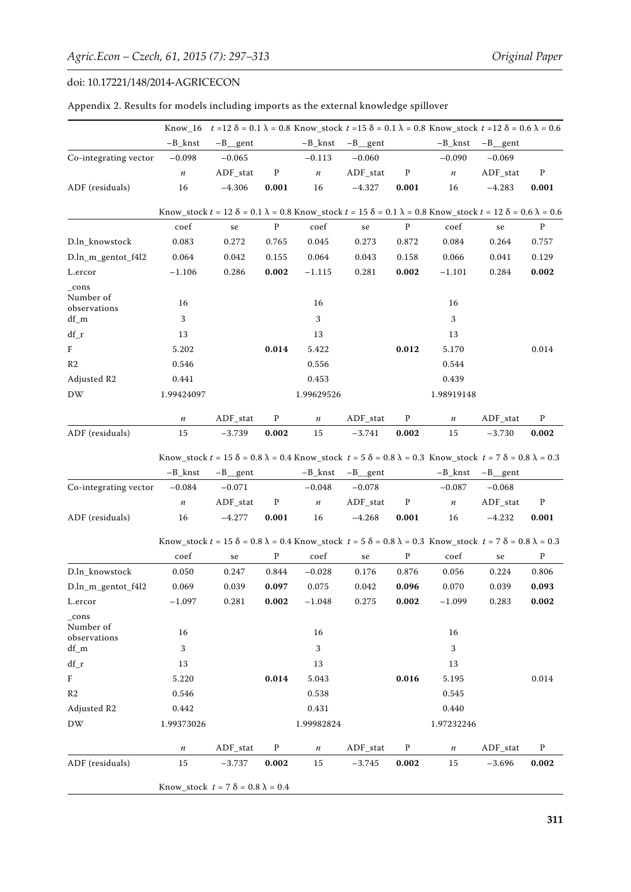|                                            | Know 16                                       |                         |              |            |                        |              | $t = 12 \delta = 0.1 \lambda = 0.8$ Know_stock $t = 15 \delta = 0.1 \lambda = 0.8$ Know_stock $t = 12 \delta = 0.6 \lambda = 0.6$                        |                    |              |
|--------------------------------------------|-----------------------------------------------|-------------------------|--------------|------------|------------------------|--------------|----------------------------------------------------------------------------------------------------------------------------------------------------------|--------------------|--------------|
|                                            | $-B_knst$                                     | $-B$ _gent              |              | $-B_knst$  | $-B$ _gent             |              | $-B_k$ nst                                                                                                                                               | $-B$ _gent         |              |
| Co-integrating vector                      | $-0.098$                                      | $-0.065$                |              | $-0.113$   | $-0.060$               |              | $-0.090$                                                                                                                                                 | $-0.069$           |              |
|                                            | $\sqrt{n}$                                    | ADF_stat                | $\mathbf P$  | $\sqrt{n}$ | ADF_stat               | $\mathbf{P}$ | $\sqrt{n}$                                                                                                                                               | ADF_stat           | $\mathbf P$  |
| ADF (residuals)                            | 16                                            | $-4.306$                | 0.001        | 16         | $-4.327$               | 0.001        | 16                                                                                                                                                       | $-4.283$           | 0.001        |
|                                            |                                               |                         |              |            |                        |              | Know_stock $t = 12 \delta = 0.1 \lambda = 0.8$ Know_stock $t = 15 \delta = 0.1 \lambda = 0.8$ Know_stock $t = 12 \delta = 0.6 \lambda = 0.6$             |                    |              |
|                                            | coef                                          | se                      | $\, {\bf p}$ | coef       | se                     | ${\bf P}$    | coef                                                                                                                                                     | se                 | $\, {\bf P}$ |
| D.ln_knowstock                             | 0.083                                         | 0.272                   | 0.765        | 0.045      | 0.273                  | 0.872        | 0.084                                                                                                                                                    | 0.264              | 0.757        |
| D.ln_m_gentot_f4l2                         | 0.064                                         | 0.042                   | 0.155        | 0.064      | 0.043                  | 0.158        | 0.066                                                                                                                                                    | 0.041              | 0.129        |
| L.ercor                                    | $-1.106$                                      | 0.286                   | 0.002        | $-1.115$   | 0.281                  | 0.002        | $-1.101$                                                                                                                                                 | 0.284              | 0.002        |
| $_{\rm cons}$<br>Number of<br>observations | 16                                            |                         |              | 16         |                        |              | 16                                                                                                                                                       |                    |              |
| df_m                                       | 3                                             |                         |              | 3          |                        |              | 3                                                                                                                                                        |                    |              |
| $df_r$                                     | 13                                            |                         |              | 13         |                        |              | 13                                                                                                                                                       |                    |              |
| $\rm F$                                    | 5.202                                         |                         | 0.014        | 5.422      |                        | 0.012        | 5.170                                                                                                                                                    |                    | 0.014        |
| R <sub>2</sub>                             | 0.546                                         |                         |              | 0.556      |                        |              | 0.544                                                                                                                                                    |                    |              |
| Adjusted R2                                | 0.441                                         |                         |              | 0.453      |                        |              | 0.439                                                                                                                                                    |                    |              |
| DW                                         | 1.99424097                                    |                         |              | 1.99629526 |                        |              | 1.98919148                                                                                                                                               |                    |              |
|                                            | $\sqrt{n}$                                    | ADF_stat                | $\mathbf{p}$ | $\sqrt{n}$ | ADF_stat               | $\, {\bf p}$ | $\boldsymbol{n}$                                                                                                                                         | ADF stat           | $\mathbf{p}$ |
| ADF (residuals)                            | 15                                            | $-3.739$                | 0.002        | 15         | $-3.741$               | 0.002        | 15                                                                                                                                                       | $-3.730$           | 0.002        |
|                                            | $-B_k$ nst                                    | $-B$ <sub>__</sub> gent |              | $-B_k$ nst | $-B$ <sub>__gent</sub> |              | Know_stock $t = 15 \delta = 0.8 \lambda = 0.4$ Know_stock $t = 5 \delta = 0.8 \lambda = 0.3$ Know_stock $t = 7 \delta = 0.8 \lambda = 0.3$<br>$-B_k$ nst | $-B$ gent          |              |
| Co-integrating vector                      | $-0.084$                                      | $-0.071$                |              | $-0.048$   | $-0.078$               |              | $-0.087$                                                                                                                                                 | $-0.068$           |              |
|                                            | $\sqrt{n}$                                    | ADF_stat                | ${\bf P}$    | $\sqrt{n}$ | ADF_stat               | $\, {\bf p}$ | $\sqrt{n}$                                                                                                                                               | ADF_stat           | $\mathbf{p}$ |
| ADF (residuals)                            | 16                                            | $-4.277$                | 0.001        | 16         | $-4.268$               | 0.001        | 16                                                                                                                                                       | $-4.232$           | 0.001        |
|                                            |                                               |                         |              |            |                        |              | Know_stock $t = 15 \delta = 0.8 \lambda = 0.4$ Know_stock $t = 5 \delta = 0.8 \lambda = 0.3$ Know_stock $t = 7 \delta = 0.8 \lambda = 0.3$               |                    |              |
|                                            | $\mathop{\mathrm{coef}}$                      | se                      | $\mathbf{P}$ | coef       | se                     | $\mathbf{P}$ | coef                                                                                                                                                     | se                 | $\mathbf{P}$ |
| D.ln knowstock                             | 0.050                                         | 0.247                   | 0.844        | $-0.028$   | 0.176                  | 0.876        | 0.056                                                                                                                                                    | 0.224              | 0.806        |
| D.ln_m_gentot_f4l2                         | 0.069                                         | 0.039                   | 0.097        | 0.075      | 0.042                  | 0.096        | 0.070                                                                                                                                                    | 0.039              | 0.093        |
| L.ercor                                    | $-1.097$                                      | 0.281                   | 0.002        | $-1.048$   | 0.275                  | 0.002        | $-1.099$                                                                                                                                                 | 0.283              | 0.002        |
| _cons<br>Number of<br>observations         | 16                                            |                         |              | 16         |                        |              | 16                                                                                                                                                       |                    |              |
| $df_m$                                     | 3                                             |                         |              | 3          |                        |              | $\sqrt{3}$                                                                                                                                               |                    |              |
| $df_r$                                     | 13                                            |                         |              | 13         |                        |              | 13                                                                                                                                                       |                    |              |
| $\rm F$                                    | 5.220                                         |                         | 0.014        | 5.043      |                        | 0.016        | 5.195                                                                                                                                                    |                    | 0.014        |
| R2                                         | 0.546                                         |                         |              | 0.538      |                        |              | 0.545                                                                                                                                                    |                    |              |
| Adjusted R2                                | 0.442                                         |                         |              | 0.431      |                        |              | 0.440                                                                                                                                                    |                    |              |
| <b>DW</b>                                  | 1.99373026                                    |                         |              | 1.99982824 |                        |              | 1.97232246                                                                                                                                               |                    |              |
|                                            | $\sqrt{n}$                                    | $\mbox{\rm ADF\_stat}$  | $\mathbf{P}$ | п          | $\mbox{\rm ADF\_stat}$ | P            | $\sqrt{n}$                                                                                                                                               | $\mbox{ADF\_stat}$ | P            |
| ADF (residuals)                            | 15                                            | -3.737                  | 0.002        | 15         | -3.745                 | 0.002        | 15                                                                                                                                                       | $-3.696$           | 0.002        |
|                                            | Know_stock $t = 7 \delta = 0.8 \lambda = 0.4$ |                         |              |            |                        |              |                                                                                                                                                          |                    |              |

|  | Appendix 2. Results for models including imports as the external knowledge spillover |  |
|--|--------------------------------------------------------------------------------------|--|
|  |                                                                                      |  |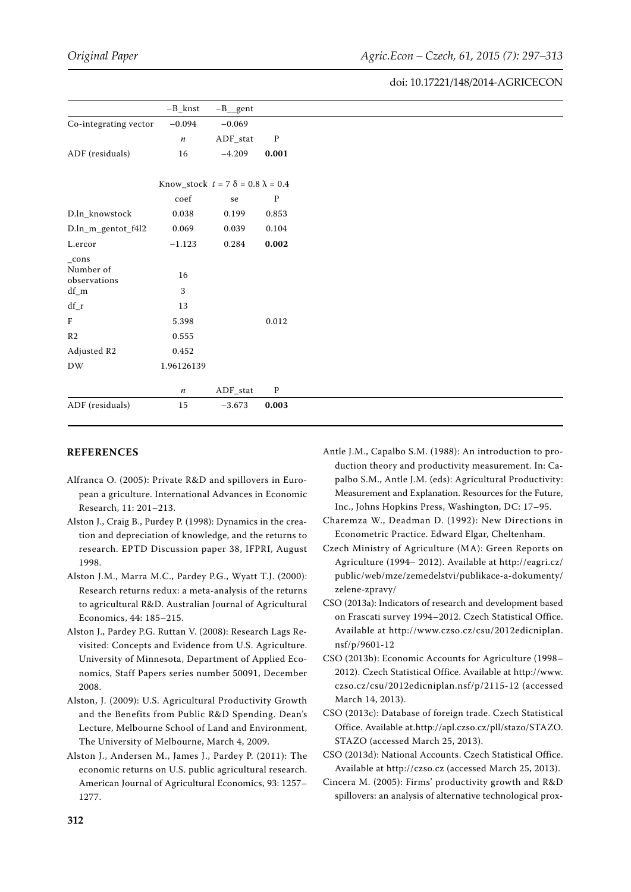|                           | $-B_knst$                                     | $-B$ <sub>__</sub> gent |                      |
|---------------------------|-----------------------------------------------|-------------------------|----------------------|
| Co-integrating vector     | $-0.094$                                      | $-0.069$                |                      |
|                           | $\sqrt{n}$                                    | $\mbox{ADF\_stat}$      | $\mathbf P$          |
| ADF (residuals)           | 16                                            | $-4.209$                | 0.001                |
|                           |                                               |                         |                      |
|                           | Know_stock $t = 7 \delta = 0.8 \lambda = 0.4$ |                         |                      |
|                           | coef                                          | se                      | $\mathbf{P}$         |
| D.ln_knowstock            | 0.038                                         | 0.199                   | 0.853                |
| D.ln_m_gentot_f4l2        | 0.069                                         | 0.039                   | 0.104                |
| L.ercor                   | $-1.123$                                      | 0.284                   | $\boldsymbol{0.002}$ |
| $_{\rm -cons}$            |                                               |                         |                      |
| Number of<br>observations | $16\,$                                        |                         |                      |
| $df\_m$                   | 3                                             |                         |                      |
| $df_r$                    | 13                                            |                         |                      |
| $\rm F$                   | 5.398                                         |                         | 0.012                |
| R <sub>2</sub>            | 0.555                                         |                         |                      |
| Adjusted R2               | 0.452                                         |                         |                      |
| DW                        | 1.96126139                                    |                         |                      |
|                           | $\sqrt{n}$                                    | $ADF_{stat}$            | $\mathbf P$          |
| ADF (residuals)           | 15                                            | $-3.673$                | 0.003                |
|                           |                                               |                         |                      |

#### **REFERENCES**

- Alfranca O. (2005): Private R&D and spillovers in European a griculture. International Advances in Economic Research, 11: 201–213.
- Alston J., Craig B., Purdey P. (1998): Dynamics in the creation and depreciation of knowledge, and the returns to research. EPTD Discussion paper 38, IFPRI, August 1998.
- Alston J.M., Marra M.C., Pardey P.G., Wyatt T.J. (2000): Research returns redux: a meta-analysis of the returns to agricultural R&D. Australian Journal of Agricultural Economics, 44: 185–215.
- Alston J., Pardey P.G. Ruttan V. (2008): Research Lags Revisited: Concepts and Evidence from U.S. Agriculture. University of Minnesota, Department of Applied Economics, Staff Papers series number 50091, December 2008.
- Alston, J. (2009): U.S. Agricultural Productivity Growth and the Benefits from Public R&D Spending. Dean's Lecture, Melbourne School of Land and Environment, The University of Melbourne, March 4, 2009.
- Alston J., Andersen M., James J., Pardey P. (2011): The economic returns on U.S. public agricultural research. American Journal of Agricultural Economics, 93: 1257– 1277.
- Antle J.M., Capalbo S.M. (1988): An introduction to production theory and productivity measurement. In: Capalbo S.M., Antle J.M. (eds): Agricultural Productivity: Measurement and Explanation. Resources for the Future, Inc., Johns Hopkins Press, Washington, DC: 17–95.
- Charemza W., Deadman D. (1992): New Directions in Econometric Practice. Edward Elgar, Cheltenham.
- Czech Ministry of Agriculture (MA): Green Reports on Agriculture (1994– 2012). Available at http://eagri.cz/ public/web/mze/zemedelstvi/publikace-a-dokumenty/ zelene-zpravy/
- CSO (2013a): Indicators of research and development based on Frascati survey 1994–2012. Czech Statistical Office. Available at http://www.czso.cz/csu/2012edicniplan. nsf/p/9601-12
- CSO (2013b): Economic Accounts for Agriculture (1998– 2012). Czech Statistical Office. Available at http://www. czso.cz/csu/2012edicniplan.nsf/p/2115-12 (accessed March 14, 2013).
- CSO (2013c): Database of foreign trade. Czech Statistical Office. Available at.http://apl.czso.cz/pll/stazo/STAZO. STAZO (accessed March 25, 2013).
- CSO (2013d): National Accounts. Czech Statistical Office. Available at http://czso.cz (accessed March 25, 2013).
- Cincera M. (2005): Firms' productivity growth and R&D spillovers: an analysis of alternative technological prox-